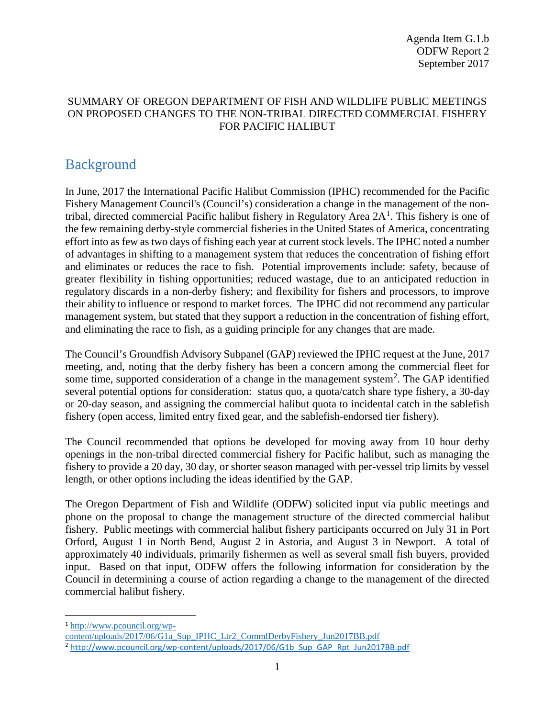# SUMMARY OF OREGON DEPARTMENT OF FISH AND WILDLIFE PUBLIC MEETINGS ON PROPOSED CHANGES TO THE NON-TRIBAL DIRECTED COMMERCIAL FISHERY FOR PACIFIC HALIBUT

# Background

In June, 2017 the International Pacific Halibut Commission (IPHC) recommended for the Pacific Fishery Management Council's (Council's) consideration a change in the management of the nontribal, directed commercial Pacific halibut fishery in Regulatory Area  $2A<sup>1</sup>$  $2A<sup>1</sup>$  $2A<sup>1</sup>$ . This fishery is one of the few remaining derby-style commercial fisheries in the United States of America, concentrating effort into as few as two days of fishing each year at current stock levels. The IPHC noted a number of advantages in shifting to a management system that reduces the concentration of fishing effort and eliminates or reduces the race to fish. Potential improvements include: safety, because of greater flexibility in fishing opportunities; reduced wastage, due to an anticipated reduction in regulatory discards in a non-derby fishery; and flexibility for fishers and processors, to improve their ability to influence or respond to market forces. The IPHC did not recommend any particular management system, but stated that they support a reduction in the concentration of fishing effort, and eliminating the race to fish, as a guiding principle for any changes that are made.

The Council's Groundfish Advisory Subpanel (GAP) reviewed the IPHC request at the June, 2017 meeting, and, noting that the derby fishery has been a concern among the commercial fleet for some time, supported consideration of a change in the management system<sup>[2](#page-0-1)</sup>. The GAP identified several potential options for consideration: status quo, a quota/catch share type fishery, a 30-day or 20-day season, and assigning the commercial halibut quota to incidental catch in the sablefish fishery (open access, limited entry fixed gear, and the sablefish-endorsed tier fishery).

The Council recommended that options be developed for moving away from 10 hour derby openings in the non-tribal directed commercial fishery for Pacific halibut, such as managing the fishery to provide a 20 day, 30 day, or shorter season managed with per-vessel trip limits by vessel length, or other options including the ideas identified by the GAP.

The Oregon Department of Fish and Wildlife (ODFW) solicited input via public meetings and phone on the proposal to change the management structure of the directed commercial halibut fishery. Public meetings with commercial halibut fishery participants occurred on July 31 in Port Orford, August 1 in North Bend, August 2 in Astoria, and August 3 in Newport. A total of approximately 40 individuals, primarily fishermen as well as several small fish buyers, provided input. Based on that input, ODFW offers the following information for consideration by the Council in determining a course of action regarding a change to the management of the directed commercial halibut fishery.

1 [http://www.pcouncil.org/wp-](http://www.pcouncil.org/wp-content/uploads/2017/06/G1a_Sup_IPHC_Ltr2_CommlDerbyFishery_Jun2017BB.pdf)

<span id="page-0-0"></span>[content/uploads/2017/06/G1a\\_Sup\\_IPHC\\_Ltr2\\_CommlDerbyFishery\\_Jun2017BB.pdf](http://www.pcouncil.org/wp-content/uploads/2017/06/G1a_Sup_IPHC_Ltr2_CommlDerbyFishery_Jun2017BB.pdf)

<span id="page-0-1"></span><sup>&</sup>lt;sup>2</sup> [http://www.pcouncil.org/wp-content/uploads/2017/06/G1b\\_Sup\\_GAP\\_Rpt\\_Jun2017BB.pdf](http://www.pcouncil.org/wp-content/uploads/2017/06/G1b_Sup_GAP_Rpt_Jun2017BB.pdf)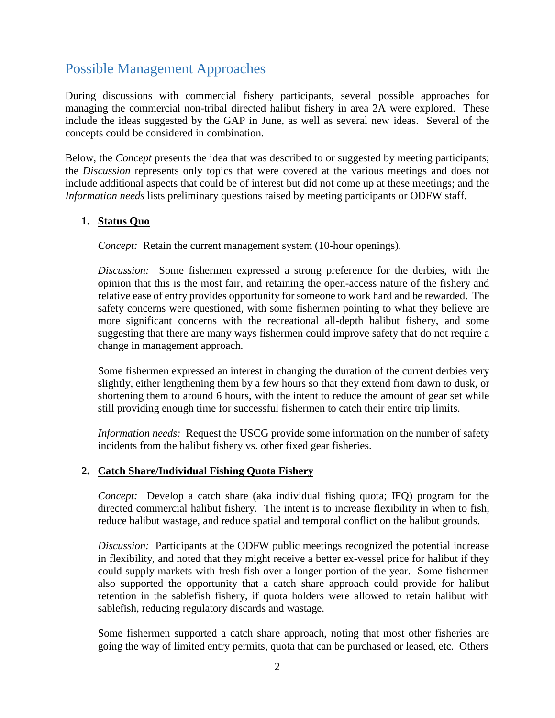# Possible Management Approaches

During discussions with commercial fishery participants, several possible approaches for managing the commercial non-tribal directed halibut fishery in area 2A were explored. These include the ideas suggested by the GAP in June, as well as several new ideas. Several of the concepts could be considered in combination.

Below, the *Concept* presents the idea that was described to or suggested by meeting participants; the *Discussion* represents only topics that were covered at the various meetings and does not include additional aspects that could be of interest but did not come up at these meetings; and the *Information needs* lists preliminary questions raised by meeting participants or ODFW staff.

## **1. Status Quo**

*Concept:* Retain the current management system (10-hour openings).

*Discussion:* Some fishermen expressed a strong preference for the derbies, with the opinion that this is the most fair, and retaining the open-access nature of the fishery and relative ease of entry provides opportunity for someone to work hard and be rewarded. The safety concerns were questioned, with some fishermen pointing to what they believe are more significant concerns with the recreational all-depth halibut fishery, and some suggesting that there are many ways fishermen could improve safety that do not require a change in management approach.

Some fishermen expressed an interest in changing the duration of the current derbies very slightly, either lengthening them by a few hours so that they extend from dawn to dusk, or shortening them to around 6 hours, with the intent to reduce the amount of gear set while still providing enough time for successful fishermen to catch their entire trip limits.

*Information needs:* Request the USCG provide some information on the number of safety incidents from the halibut fishery vs. other fixed gear fisheries.

#### **2. Catch Share/Individual Fishing Quota Fishery**

*Concept:* Develop a catch share (aka individual fishing quota; IFQ) program for the directed commercial halibut fishery. The intent is to increase flexibility in when to fish, reduce halibut wastage, and reduce spatial and temporal conflict on the halibut grounds.

*Discussion:* Participants at the ODFW public meetings recognized the potential increase in flexibility, and noted that they might receive a better ex-vessel price for halibut if they could supply markets with fresh fish over a longer portion of the year. Some fishermen also supported the opportunity that a catch share approach could provide for halibut retention in the sablefish fishery, if quota holders were allowed to retain halibut with sablefish, reducing regulatory discards and wastage.

Some fishermen supported a catch share approach, noting that most other fisheries are going the way of limited entry permits, quota that can be purchased or leased, etc. Others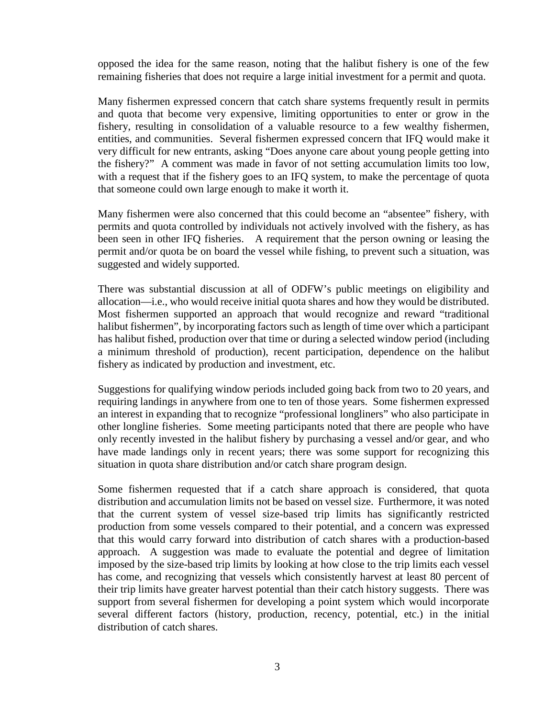opposed the idea for the same reason, noting that the halibut fishery is one of the few remaining fisheries that does not require a large initial investment for a permit and quota.

Many fishermen expressed concern that catch share systems frequently result in permits and quota that become very expensive, limiting opportunities to enter or grow in the fishery, resulting in consolidation of a valuable resource to a few wealthy fishermen, entities, and communities. Several fishermen expressed concern that IFQ would make it very difficult for new entrants, asking "Does anyone care about young people getting into the fishery?" A comment was made in favor of not setting accumulation limits too low, with a request that if the fishery goes to an IFQ system, to make the percentage of quota that someone could own large enough to make it worth it.

Many fishermen were also concerned that this could become an "absentee" fishery, with permits and quota controlled by individuals not actively involved with the fishery, as has been seen in other IFQ fisheries. A requirement that the person owning or leasing the permit and/or quota be on board the vessel while fishing, to prevent such a situation, was suggested and widely supported.

There was substantial discussion at all of ODFW's public meetings on eligibility and allocation—i.e., who would receive initial quota shares and how they would be distributed. Most fishermen supported an approach that would recognize and reward "traditional halibut fishermen", by incorporating factors such as length of time over which a participant has halibut fished, production over that time or during a selected window period (including a minimum threshold of production), recent participation, dependence on the halibut fishery as indicated by production and investment, etc.

Suggestions for qualifying window periods included going back from two to 20 years, and requiring landings in anywhere from one to ten of those years. Some fishermen expressed an interest in expanding that to recognize "professional longliners" who also participate in other longline fisheries. Some meeting participants noted that there are people who have only recently invested in the halibut fishery by purchasing a vessel and/or gear, and who have made landings only in recent years; there was some support for recognizing this situation in quota share distribution and/or catch share program design.

Some fishermen requested that if a catch share approach is considered, that quota distribution and accumulation limits not be based on vessel size. Furthermore, it was noted that the current system of vessel size-based trip limits has significantly restricted production from some vessels compared to their potential, and a concern was expressed that this would carry forward into distribution of catch shares with a production-based approach. A suggestion was made to evaluate the potential and degree of limitation imposed by the size-based trip limits by looking at how close to the trip limits each vessel has come, and recognizing that vessels which consistently harvest at least 80 percent of their trip limits have greater harvest potential than their catch history suggests. There was support from several fishermen for developing a point system which would incorporate several different factors (history, production, recency, potential, etc.) in the initial distribution of catch shares.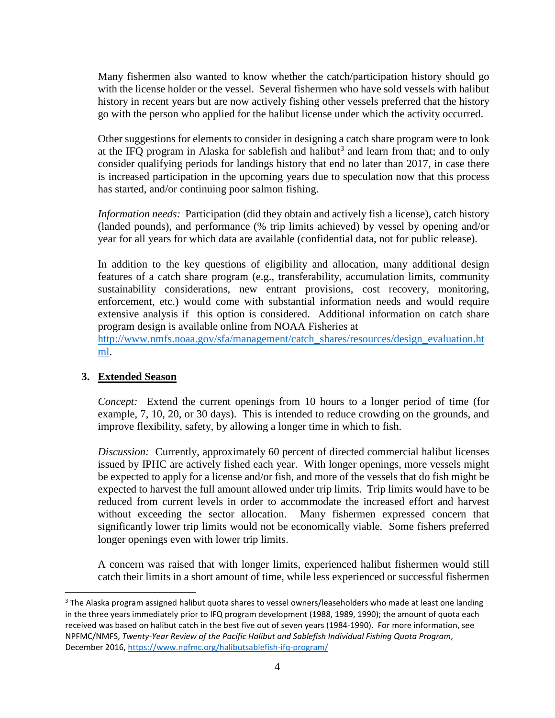Many fishermen also wanted to know whether the catch/participation history should go with the license holder or the vessel. Several fishermen who have sold vessels with halibut history in recent years but are now actively fishing other vessels preferred that the history go with the person who applied for the halibut license under which the activity occurred.

Other suggestions for elements to consider in designing a catch share program were to look at the IFQ program in Alaska for sable fish and halibut<sup>[3](#page-3-0)</sup> and learn from that; and to only consider qualifying periods for landings history that end no later than 2017, in case there is increased participation in the upcoming years due to speculation now that this process has started, and/or continuing poor salmon fishing.

*Information needs:* Participation (did they obtain and actively fish a license), catch history (landed pounds), and performance (% trip limits achieved) by vessel by opening and/or year for all years for which data are available (confidential data, not for public release).

In addition to the key questions of eligibility and allocation, many additional design features of a catch share program (e.g., transferability, accumulation limits, community sustainability considerations, new entrant provisions, cost recovery, monitoring, enforcement, etc.) would come with substantial information needs and would require extensive analysis if this option is considered. Additional information on catch share program design is available online from NOAA Fisheries at

[http://www.nmfs.noaa.gov/sfa/management/catch\\_shares/resources/design\\_evaluation.ht](http://www.nmfs.noaa.gov/sfa/management/catch_shares/resources/design_evaluation.html) [ml.](http://www.nmfs.noaa.gov/sfa/management/catch_shares/resources/design_evaluation.html)

# **3. Extended Season**

*Concept:* Extend the current openings from 10 hours to a longer period of time (for example, 7, 10, 20, or 30 days). This is intended to reduce crowding on the grounds, and improve flexibility, safety, by allowing a longer time in which to fish.

*Discussion:* Currently, approximately 60 percent of directed commercial halibut licenses issued by IPHC are actively fished each year. With longer openings, more vessels might be expected to apply for a license and/or fish, and more of the vessels that do fish might be expected to harvest the full amount allowed under trip limits. Trip limits would have to be reduced from current levels in order to accommodate the increased effort and harvest without exceeding the sector allocation. Many fishermen expressed concern that significantly lower trip limits would not be economically viable. Some fishers preferred longer openings even with lower trip limits.

A concern was raised that with longer limits, experienced halibut fishermen would still catch their limits in a short amount of time, while less experienced or successful fishermen

<span id="page-3-0"></span><sup>&</sup>lt;sup>3</sup> The Alaska program assigned halibut quota shares to vessel owners/leaseholders who made at least one landing in the three years immediately prior to IFQ program development (1988, 1989, 1990); the amount of quota each received was based on halibut catch in the best five out of seven years (1984-1990). For more information, see NPFMC/NMFS, *Twenty-Year Review of the Pacific Halibut and Sablefish Individual Fishing Quota Program*, December 2016,<https://www.npfmc.org/halibutsablefish-ifq-program/>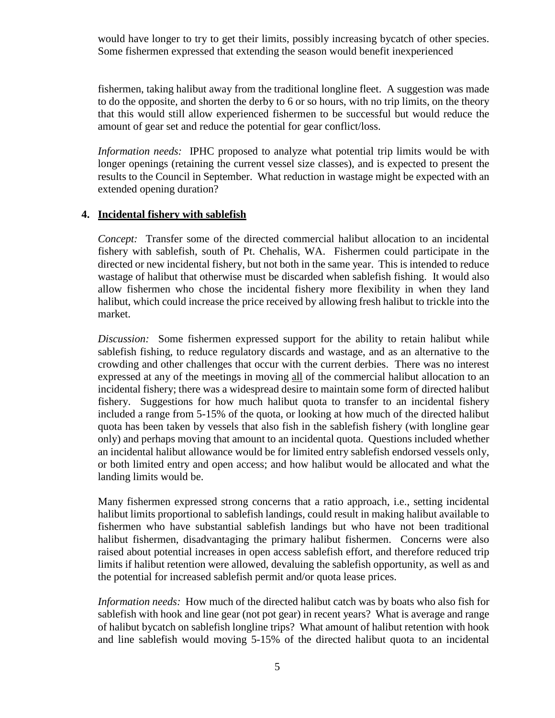would have longer to try to get their limits, possibly increasing bycatch of other species. Some fishermen expressed that extending the season would benefit inexperienced

fishermen, taking halibut away from the traditional longline fleet. A suggestion was made to do the opposite, and shorten the derby to 6 or so hours, with no trip limits, on the theory that this would still allow experienced fishermen to be successful but would reduce the amount of gear set and reduce the potential for gear conflict/loss.

*Information needs:* IPHC proposed to analyze what potential trip limits would be with longer openings (retaining the current vessel size classes), and is expected to present the results to the Council in September. What reduction in wastage might be expected with an extended opening duration?

#### **4. Incidental fishery with sablefish**

*Concept:* Transfer some of the directed commercial halibut allocation to an incidental fishery with sablefish, south of Pt. Chehalis, WA. Fishermen could participate in the directed or new incidental fishery, but not both in the same year. This is intended to reduce wastage of halibut that otherwise must be discarded when sablefish fishing. It would also allow fishermen who chose the incidental fishery more flexibility in when they land halibut, which could increase the price received by allowing fresh halibut to trickle into the market.

*Discussion:* Some fishermen expressed support for the ability to retain halibut while sablefish fishing, to reduce regulatory discards and wastage, and as an alternative to the crowding and other challenges that occur with the current derbies. There was no interest expressed at any of the meetings in moving all of the commercial halibut allocation to an incidental fishery; there was a widespread desire to maintain some form of directed halibut fishery. Suggestions for how much halibut quota to transfer to an incidental fishery included a range from 5-15% of the quota, or looking at how much of the directed halibut quota has been taken by vessels that also fish in the sablefish fishery (with longline gear only) and perhaps moving that amount to an incidental quota. Questions included whether an incidental halibut allowance would be for limited entry sablefish endorsed vessels only, or both limited entry and open access; and how halibut would be allocated and what the landing limits would be.

Many fishermen expressed strong concerns that a ratio approach, i.e., setting incidental halibut limits proportional to sablefish landings, could result in making halibut available to fishermen who have substantial sablefish landings but who have not been traditional halibut fishermen, disadvantaging the primary halibut fishermen. Concerns were also raised about potential increases in open access sablefish effort, and therefore reduced trip limits if halibut retention were allowed, devaluing the sablefish opportunity, as well as and the potential for increased sablefish permit and/or quota lease prices.

*Information needs:* How much of the directed halibut catch was by boats who also fish for sablefish with hook and line gear (not pot gear) in recent years? What is average and range of halibut bycatch on sablefish longline trips? What amount of halibut retention with hook and line sablefish would moving 5-15% of the directed halibut quota to an incidental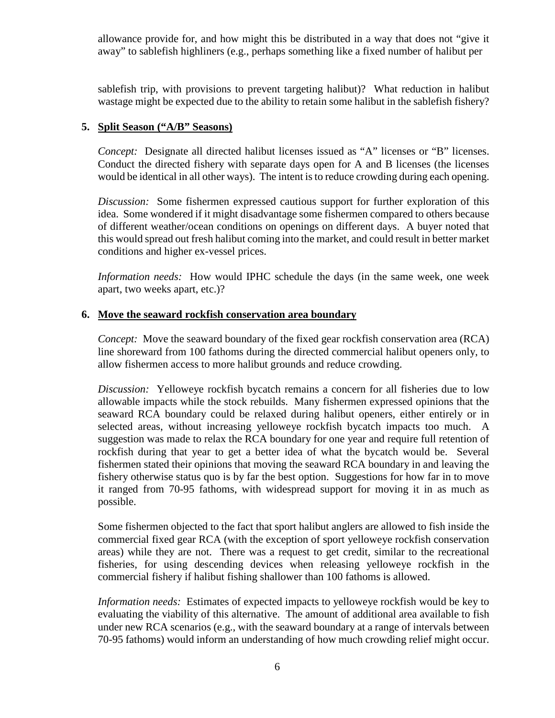allowance provide for, and how might this be distributed in a way that does not "give it away" to sablefish highliners (e.g., perhaps something like a fixed number of halibut per

sablefish trip, with provisions to prevent targeting halibut)? What reduction in halibut wastage might be expected due to the ability to retain some halibut in the sablefish fishery?

#### **5. Split Season ("A/B" Seasons)**

*Concept:* Designate all directed halibut licenses issued as "A" licenses or "B" licenses. Conduct the directed fishery with separate days open for A and B licenses (the licenses would be identical in all other ways). The intent is to reduce crowding during each opening.

*Discussion:* Some fishermen expressed cautious support for further exploration of this idea. Some wondered if it might disadvantage some fishermen compared to others because of different weather/ocean conditions on openings on different days. A buyer noted that this would spread out fresh halibut coming into the market, and could result in better market conditions and higher ex-vessel prices.

*Information needs:* How would IPHC schedule the days (in the same week, one week apart, two weeks apart, etc.)?

## **6. Move the seaward rockfish conservation area boundary**

*Concept:* Move the seaward boundary of the fixed gear rockfish conservation area (RCA) line shoreward from 100 fathoms during the directed commercial halibut openers only, to allow fishermen access to more halibut grounds and reduce crowding.

*Discussion:* Yelloweye rockfish bycatch remains a concern for all fisheries due to low allowable impacts while the stock rebuilds. Many fishermen expressed opinions that the seaward RCA boundary could be relaxed during halibut openers, either entirely or in selected areas, without increasing yelloweye rockfish bycatch impacts too much. A suggestion was made to relax the RCA boundary for one year and require full retention of rockfish during that year to get a better idea of what the bycatch would be. Several fishermen stated their opinions that moving the seaward RCA boundary in and leaving the fishery otherwise status quo is by far the best option. Suggestions for how far in to move it ranged from 70-95 fathoms, with widespread support for moving it in as much as possible.

Some fishermen objected to the fact that sport halibut anglers are allowed to fish inside the commercial fixed gear RCA (with the exception of sport yelloweye rockfish conservation areas) while they are not. There was a request to get credit, similar to the recreational fisheries, for using descending devices when releasing yelloweye rockfish in the commercial fishery if halibut fishing shallower than 100 fathoms is allowed.

*Information needs:* Estimates of expected impacts to yelloweye rockfish would be key to evaluating the viability of this alternative. The amount of additional area available to fish under new RCA scenarios (e.g., with the seaward boundary at a range of intervals between 70-95 fathoms) would inform an understanding of how much crowding relief might occur.